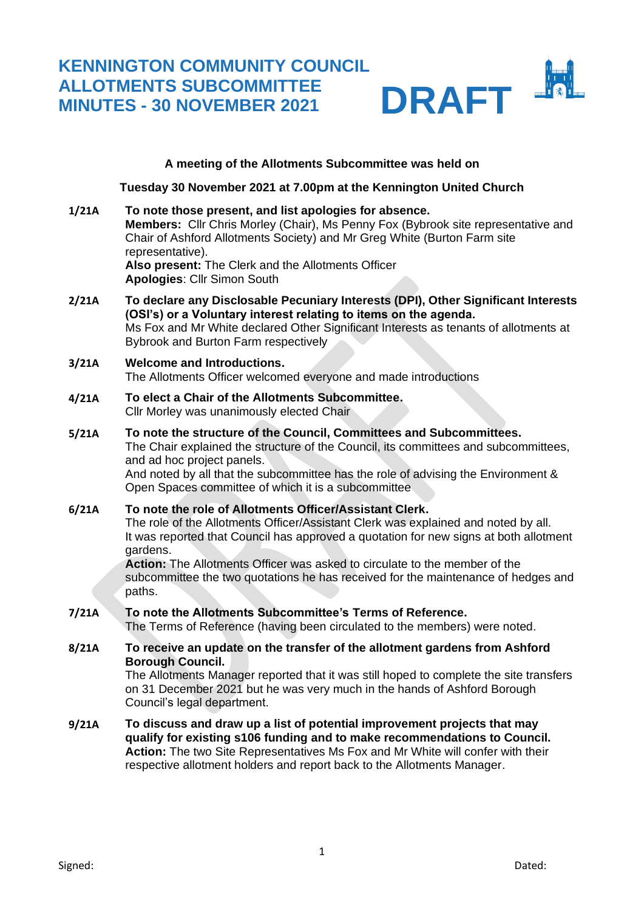# **KENNINGTON COMMUNITY COUNCIL ALLOTMENTS SUBCOMMITTEE MINUTES - 30 NOVEMBER 2021** DRAFT



#### **A meeting of the Allotments Subcommittee was held on**

**Tuesday 30 November 2021 at 7.00pm at the Kennington United Church**

- **1/21A To note those present, and list apologies for absence. Members:** Cllr Chris Morley (Chair), Ms Penny Fox (Bybrook site representative and Chair of Ashford Allotments Society) and Mr Greg White (Burton Farm site representative). **Also present:** The Clerk and the Allotments Officer **Apologies**: Cllr Simon South
- **2/21A To declare any Disclosable Pecuniary Interests (DPI), Other Significant Interests (OSI's) or a Voluntary interest relating to items on the agenda.** Ms Fox and Mr White declared Other Significant Interests as tenants of allotments at Bybrook and Burton Farm respectively

#### **3/21A Welcome and Introductions.** The Allotments Officer welcomed everyone and made introductions

- **4/21A To elect a Chair of the Allotments Subcommittee.** Cllr Morley was unanimously elected Chair
- **5/21A To note the structure of the Council, Committees and Subcommittees.** The Chair explained the structure of the Council, its committees and subcommittees, and ad hoc project panels.

And noted by all that the subcommittee has the role of advising the Environment & Open Spaces committee of which it is a subcommittee

## **6/21A To note the role of Allotments Officer/Assistant Clerk.**

The role of the Allotments Officer/Assistant Clerk was explained and noted by all. It was reported that Council has approved a quotation for new signs at both allotment gardens.

**Action:** The Allotments Officer was asked to circulate to the member of the subcommittee the two quotations he has received for the maintenance of hedges and paths.

#### **7/21A To note the Allotments Subcommittee's Terms of Reference.**

The Terms of Reference (having been circulated to the members) were noted.

**8/21A To receive an update on the transfer of the allotment gardens from Ashford Borough Council.** 

The Allotments Manager reported that it was still hoped to complete the site transfers on 31 December 2021 but he was very much in the hands of Ashford Borough Council's legal department.

**9/21A To discuss and draw up a list of potential improvement projects that may qualify for existing s106 funding and to make recommendations to Council. Action:** The two Site Representatives Ms Fox and Mr White will confer with their respective allotment holders and report back to the Allotments Manager.